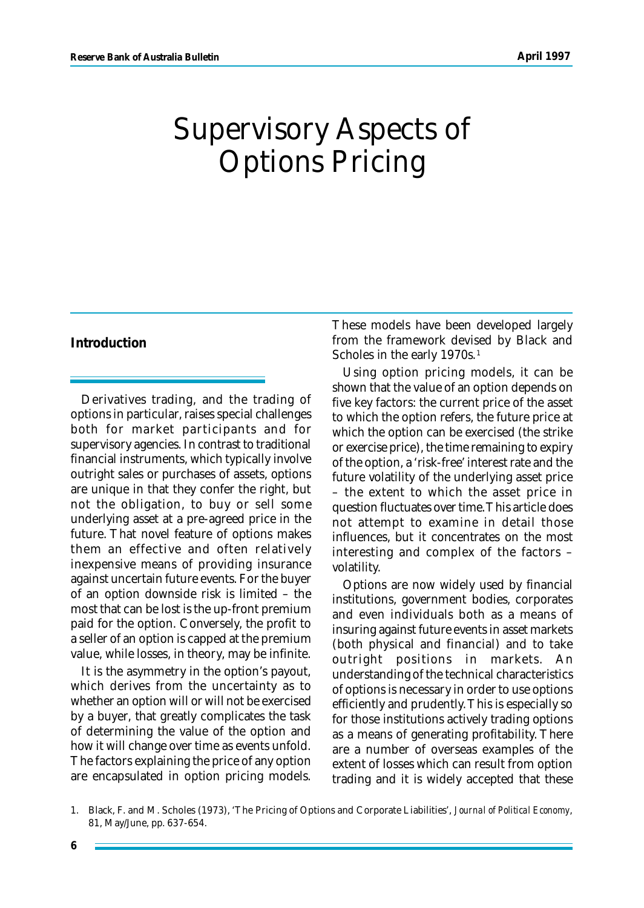# Supervisory Aspects of Options Pricing

## **Introduction**

Derivatives trading, and the trading of options in particular, raises special challenges both for market participants and for supervisory agencies. In contrast to traditional financial instruments, which typically involve outright sales or purchases of assets, options are unique in that they confer the right, but not the obligation, to buy or sell some underlying asset at a pre-agreed price in the future. That novel feature of options makes them an effective and often relatively inexpensive means of providing insurance against uncertain future events. For the buyer of an option downside risk is limited – the most that can be lost is the up-front premium paid for the option. Conversely, the profit to a seller of an option is capped at the premium value, while losses, in theory, may be infinite.

It is the asymmetry in the option's payout, which derives from the uncertainty as to whether an option will or will not be exercised by a buyer, that greatly complicates the task of determining the value of the option and how it will change over time as events unfold. The factors explaining the price of any option are encapsulated in option pricing models.

These models have been developed largely from the framework devised by Black and Scholes in the early 1970s.<sup>1</sup>

Using option pricing models, it can be shown that the value of an option depends on five key factors: the current price of the asset to which the option refers, the future price at which the option can be exercised (the strike or exercise price), the time remaining to expiry of the option, a 'risk-free' interest rate and the future volatility of the underlying asset price – the extent to which the asset price in question fluctuates over time. This article does not attempt to examine in detail those influences, but it concentrates on the most interesting and complex of the factors – volatility.

Options are now widely used by financial institutions, government bodies, corporates and even individuals both as a means of insuring against future events in asset markets (both physical and financial) and to take outright positions in markets. An understanding of the technical characteristics of options is necessary in order to use options efficiently and prudently. This is especially so for those institutions actively trading options as a means of generating profitability. There are a number of overseas examples of the extent of losses which can result from option trading and it is widely accepted that these

<sup>1.</sup> Black, F. and M. Scholes (1973), 'The Pricing of Options and Corporate Liabilities', *Journal of Political Economy*, 81, May/June, pp. 637-654.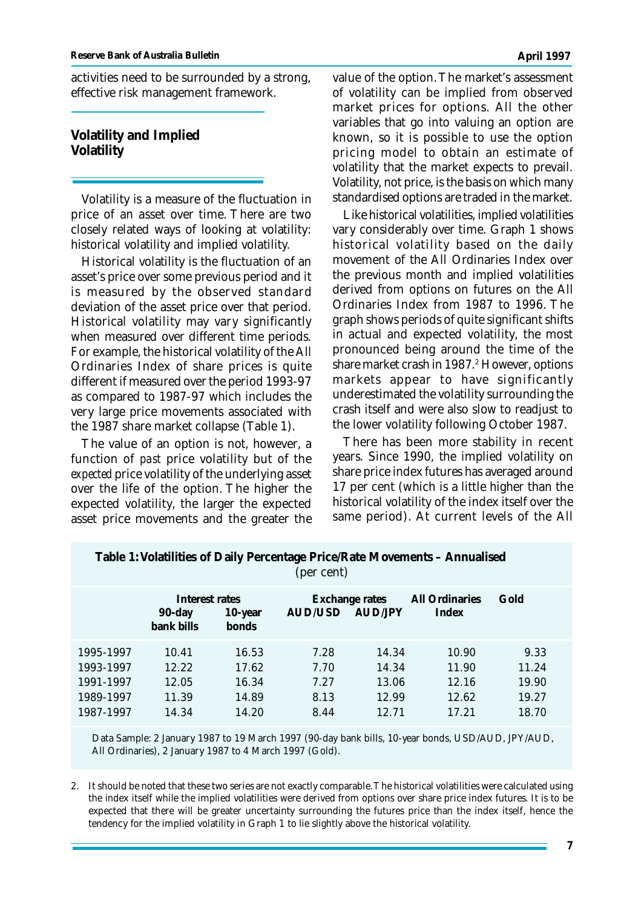activities need to be surrounded by a strong, effective risk management framework.

**Volatility and Implied Volatility**

Volatility is a measure of the fluctuation in price of an asset over time. There are two closely related ways of looking at volatility: historical volatility and implied volatility.

Historical volatility is the fluctuation of an asset's price over some previous period and it is measured by the observed standard deviation of the asset price over that period. Historical volatility may vary significantly when measured over different time periods. For example, the historical volatility of the All Ordinaries Index of share prices is quite different if measured over the period 1993-97 as compared to 1987-97 which includes the very large price movements associated with the 1987 share market collapse (Table 1).

The value of an option is not, however, a function of *past* price volatility but of the *expected* price volatility of the underlying asset over the life of the option. The higher the expected volatility, the larger the expected asset price movements and the greater the value of the option. The market's assessment of volatility can be implied from observed market prices for options. All the other variables that go into valuing an option are known, so it is possible to use the option pricing model to obtain an estimate of volatility that the market expects to prevail. Volatility, not price, is the basis on which many standardised options are traded in the market.

Like historical volatilities, implied volatilities vary considerably over time. Graph 1 shows historical volatility based on the daily movement of the All Ordinaries Index over the previous month and implied volatilities derived from options on futures on the All Ordinaries Index from 1987 to 1996. The graph shows periods of quite significant shifts in actual and expected volatility, the most pronounced being around the time of the share market crash in 1987.<sup>2</sup> However, options markets appear to have significantly underestimated the volatility surrounding the crash itself and were also slow to readjust to the lower volatility following October 1987.

There has been more stability in recent years. Since 1990, the implied volatility on share price index futures has averaged around 17 per cent (which is a little higher than the historical volatility of the index itself over the same period). At current levels of the All

| $\frac{1}{2}$<br>(per cent)                                   |                                           |                                           |                                      |                                           |                                           |                                          |
|---------------------------------------------------------------|-------------------------------------------|-------------------------------------------|--------------------------------------|-------------------------------------------|-------------------------------------------|------------------------------------------|
|                                                               | Interest rates<br>$90$ -day<br>bank bills | 10-year<br>bonds                          | AUD/USD                              | <b>Exchange rates</b><br><b>AUD/JPY</b>   | <b>All Ordinaries</b><br>Index            | Gold                                     |
| 1995-1997<br>1993-1997<br>1991-1997<br>1989-1997<br>1987-1997 | 10.41<br>12.22<br>12.05<br>11.39<br>14.34 | 16.53<br>17.62<br>16.34<br>14.89<br>14.20 | 7.28<br>7.70<br>7.27<br>8.13<br>8.44 | 14.34<br>14.34<br>13.06<br>12.99<br>12.71 | 10.90<br>11.90<br>12.16<br>12.62<br>17.21 | 9.33<br>11.24<br>19.90<br>19.27<br>18.70 |

**Table 1: Volatilities of Daily Percentage Price/Rate Movements – Annualised**

Data Sample: 2 January 1987 to 19 March 1997 (90-day bank bills, 10-year bonds, USD/AUD, JPY/AUD, All Ordinaries), 2 January 1987 to 4 March 1997 (Gold).

2. It should be noted that these two series are not exactly comparable. The historical volatilities were calculated using the index itself while the implied volatilities were derived from options over share price index futures. It is to be expected that there will be greater uncertainty surrounding the futures price than the index itself, hence the tendency for the implied volatility in Graph 1 to lie slightly above the historical volatility.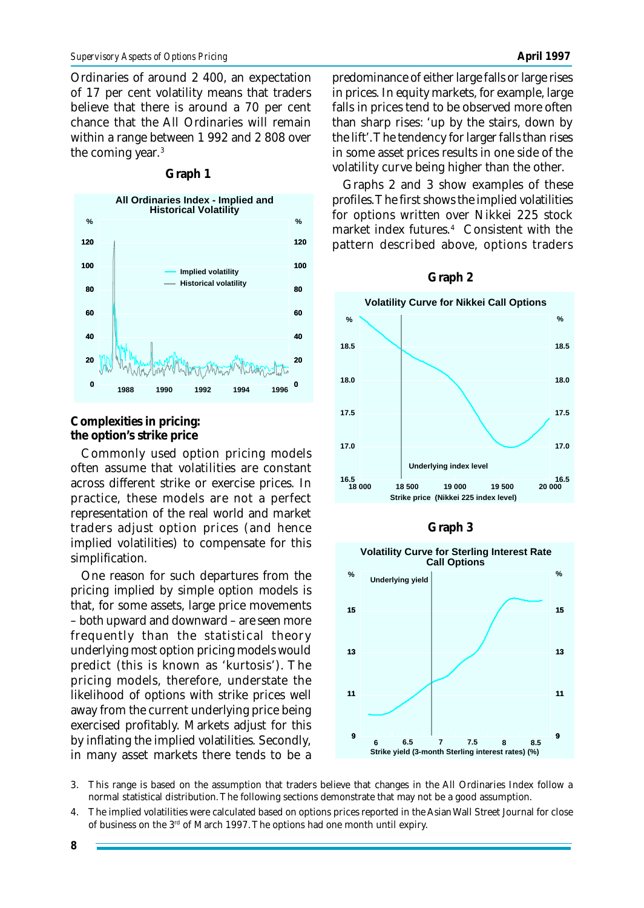Ordinaries of around 2 400, an expectation of 17 per cent volatility means that traders believe that there is around a 70 per cent chance that the All Ordinaries will remain within a range between 1 992 and 2 808 over the coming year.<sup>3</sup>



# **Graph 1**

**Complexities in pricing: the option's strike price**

Commonly used option pricing models often assume that volatilities are constant across different strike or exercise prices. In practice, these models are not a perfect representation of the real world and market traders adjust option prices (and hence implied volatilities) to compensate for this simplification.

One reason for such departures from the pricing implied by simple option models is that, for some assets, large price movements – both upward and downward – are seen more frequently than the statistical theory underlying most option pricing models would predict (this is known as 'kurtosis'). The pricing models, therefore, understate the likelihood of options with strike prices well away from the current underlying price being exercised profitably. Markets adjust for this by inflating the implied volatilities. Secondly, in many asset markets there tends to be a

predominance of either large falls or large rises in prices. In equity markets, for example, large falls in prices tend to be observed more often than sharp rises: 'up by the stairs, down by the lift'. The tendency for larger falls than rises in some asset prices results in one side of the volatility curve being higher than the other.

Graphs 2 and 3 show examples of these profiles. The first shows the implied volatilities for options written over Nikkei 225 stock market index futures.<sup>4</sup> Consistent with the pattern described above, options traders









3. This range is based on the assumption that traders believe that changes in the All Ordinaries Index follow a normal statistical distribution. The following sections demonstrate that may not be a good assumption.

4. The implied volatilities were calculated based on options prices reported in the Asian Wall Street Journal for close of business on the 3rd of March 1997. The options had one month until expiry.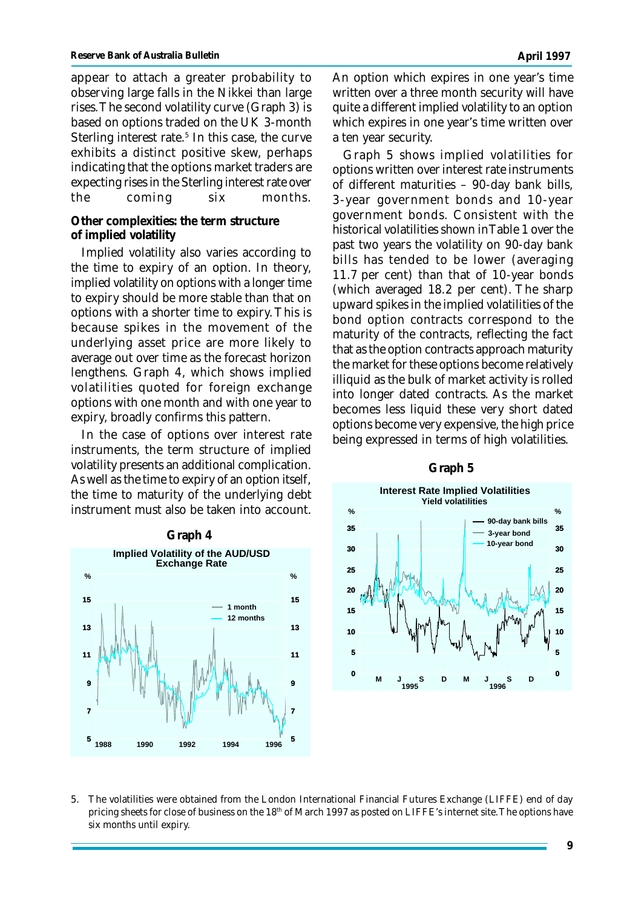appear to attach a greater probability to observing large falls in the Nikkei than large rises. The second volatility curve (Graph 3) is based on options traded on the UK 3-month Sterling interest rate.<sup>5</sup> In this case, the curve exhibits a distinct positive skew, perhaps indicating that the options market traders are expecting rises in the Sterling interest rate over the coming six months.

## **Other complexities: the term structure of implied volatility**

Implied volatility also varies according to the time to expiry of an option. In theory, implied volatility on options with a longer time to expiry should be more stable than that on options with a shorter time to expiry. This is because spikes in the movement of the underlying asset price are more likely to average out over time as the forecast horizon lengthens. Graph 4, which shows implied volatilities quoted for foreign exchange options with one month and with one year to expiry, broadly confirms this pattern.

In the case of options over interest rate instruments, the term structure of implied volatility presents an additional complication. As well as the time to expiry of an option itself, the time to maturity of the underlying debt instrument must also be taken into account.



An option which expires in one year's time written over a three month security will have quite a different implied volatility to an option which expires in one year's time written over a ten year security.

Graph 5 shows implied volatilities for options written over interest rate instruments of different maturities – 90-day bank bills, 3-year government bonds and 10-year government bonds. Consistent with the historical volatilities shown in Table 1 over the past two years the volatility on 90-day bank bills has tended to be lower (averaging 11.7 per cent) than that of 10-year bonds (which averaged 18.2 per cent). The sharp upward spikes in the implied volatilities of the bond option contracts correspond to the maturity of the contracts, reflecting the fact that as the option contracts approach maturity the market for these options become relatively illiquid as the bulk of market activity is rolled into longer dated contracts. As the market becomes less liquid these very short dated options become very expensive, the high price being expressed in terms of high volatilities.



#### **Graph 5**

5. The volatilities were obtained from the London International Financial Futures Exchange (LIFFE) end of day pricing sheets for close of business on the 18<sup>th</sup> of March 1997 as posted on LIFFE's internet site. The options have six months until expiry.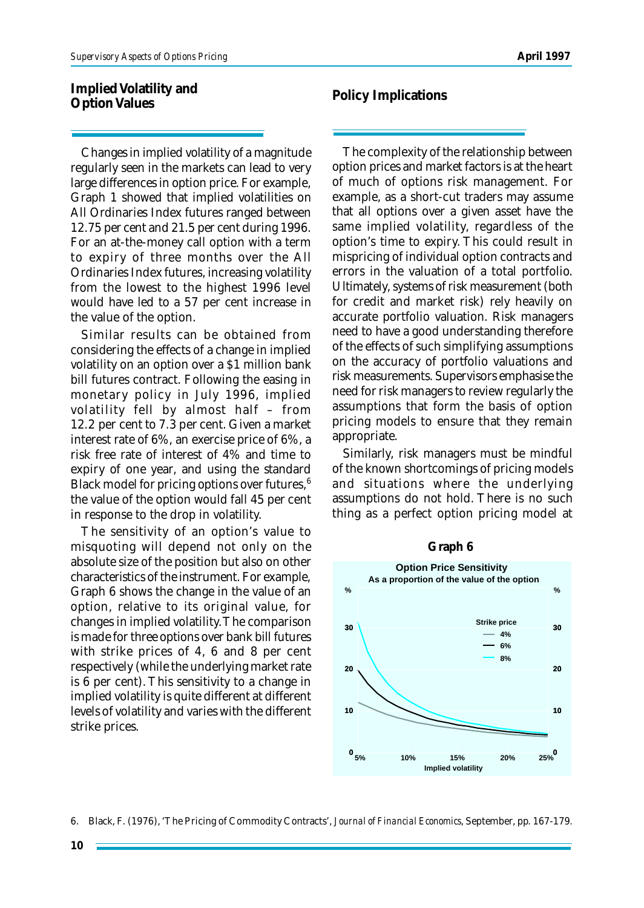**Implied Volatility and Option Values**

Changes in implied volatility of a magnitude regularly seen in the markets can lead to very large differences in option price. For example, Graph 1 showed that implied volatilities on All Ordinaries Index futures ranged between 12.75 per cent and 21.5 per cent during 1996. For an at-the-money call option with a term to expiry of three months over the All Ordinaries Index futures, increasing volatility from the lowest to the highest 1996 level would have led to a 57 per cent increase in the value of the option.

Similar results can be obtained from considering the effects of a change in implied volatility on an option over a \$1 million bank bill futures contract. Following the easing in monetary policy in July 1996, implied volatility fell by almost half – from 12.2 per cent to 7.3 per cent. Given a market interest rate of 6%, an exercise price of 6%, a risk free rate of interest of 4% and time to expiry of one year, and using the standard Black model for pricing options over futures, $6$ the value of the option would fall 45 per cent in response to the drop in volatility.

The sensitivity of an option's value to misquoting will depend not only on the absolute size of the position but also on other characteristics of the instrument. For example, Graph 6 shows the change in the value of an option, relative to its original value, for changes in implied volatility. The comparison is made for three options over bank bill futures with strike prices of 4, 6 and 8 per cent respectively (while the underlying market rate is 6 per cent). This sensitivity to a change in implied volatility is quite different at different levels of volatility and varies with the different strike prices.

**Policy Implications**

The complexity of the relationship between option prices and market factors is at the heart of much of options risk management. For example, as a short-cut traders may assume that all options over a given asset have the same implied volatility, regardless of the option's time to expiry. This could result in mispricing of individual option contracts and errors in the valuation of a total portfolio. Ultimately, systems of risk measurement (both for credit and market risk) rely heavily on accurate portfolio valuation. Risk managers need to have a good understanding therefore of the effects of such simplifying assumptions on the accuracy of portfolio valuations and risk measurements. Supervisors emphasise the need for risk managers to review regularly the assumptions that form the basis of option pricing models to ensure that they remain appropriate.

Similarly, risk managers must be mindful of the known shortcomings of pricing models and situations where the underlying assumptions do not hold. There is no such thing as a perfect option pricing model at



**Graph 6**

6. Black, F. (1976), 'The Pricing of Commodity Contracts', *Journal of Financial Economics*, September, pp. 167-179.